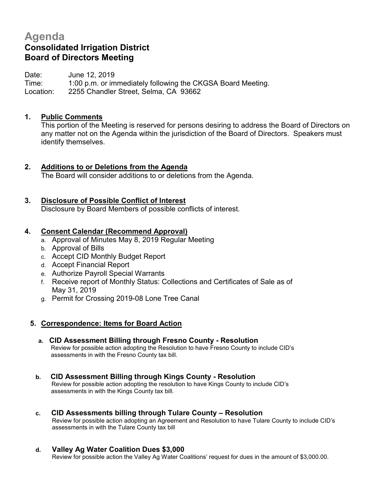# **Agenda Consolidated Irrigation District Board of Directors Meeting**

Date: June 12, 2019 Time: 1:00 p.m. or immediately following the CKGSA Board Meeting. Location: 2255 Chandler Street, Selma, CA 93662

# **1. Public Comments**

This portion of the Meeting is reserved for persons desiring to address the Board of Directors on any matter not on the Agenda within the jurisdiction of the Board of Directors. Speakers must identify themselves.

# **2. Additions to or Deletions from the Agenda**

The Board will consider additions to or deletions from the Agenda.

# **3. Disclosure of Possible Conflict of Interest**

Disclosure by Board Members of possible conflicts of interest.

### **4. Consent Calendar (Recommend Approval)**

- a. Approval of Minutes May 8, 2019 Regular Meeting
- b. Approval of Bills
- c. Accept CID Monthly Budget Report
- d. Accept Financial Report
- e. Authorize Payroll Special Warrants
- f. Receive report of Monthly Status: Collections and Certificates of Sale as of May 31, 2019
- g. Permit for Crossing 2019-08 Lone Tree Canal

# **5. Correspondence: Items for Board Action**

**a. CID Assessment Billing through Fresno County - Resolution** Review for possible action adopting the Resolution to have Fresno County to include CID's assessments in with the Fresno County tax bill.

#### **b. CID Assessment Billing through Kings County - Resolution** Review for possible action adopting the resolution to have Kings County to include CID's assessments in with the Kings County tax bill.

### **c. CID Assessments billing through Tulare County – Resolution**

Review for possible action adopting an Agreement and Resolution to have Tulare County to include CID's assessments in with the Tulare County tax bill

**d. Valley Ag Water Coalition Dues \$3,000**

Review for possible action the Valley Ag Water Coalitions' request for dues in the amount of \$3,000.00.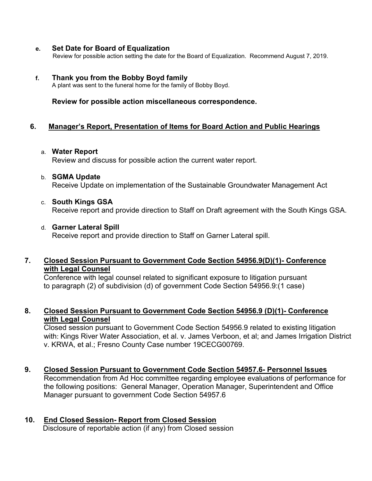#### **e. Set Date for Board of Equalization**

Review for possible action setting the date for the Board of Equalization. Recommend August 7, 2019.

#### **f. Thank you from the Bobby Boyd family**

A plant was sent to the funeral home for the family of Bobby Boyd.

**Review for possible action miscellaneous correspondence.**

### **6. Manager's Report, Presentation of Items for Board Action and Public Hearings**

#### a. **Water Report**

Review and discuss for possible action the current water report.

b. **SGMA Update** 

Receive Update on implementation of the Sustainable Groundwater Management Act

c. **South Kings GSA**

Receive report and provide direction to Staff on Draft agreement with the South Kings GSA.

d. **Garner Lateral Spill**

Receive report and provide direction to Staff on Garner Lateral spill.

### **7. Closed Session Pursuant to Government Code Section 54956.9(D)(1)- Conference with Legal Counsel**

 Conference with legal counsel related to significant exposure to litigation pursuant to paragraph (2) of subdivision (d) of government Code Section 54956.9:(1 case)

## **8. Closed Session Pursuant to Government Code Section 54956.9 (D)(1)- Conference with Legal Counsel**

Closed session pursuant to Government Code Section 54956.9 related to existing litigation with: Kings River Water Association, et al. v. James Verboon, et al; and James Irrigation District v. KRWA, et al.; Fresno County Case number 19CECG00769.

### **9. Closed Session Pursuant to Government Code Section 54957.6- Personnel Issues**

Recommendation from Ad Hoc committee regarding employee evaluations of performance for the following positions: General Manager, Operation Manager, Superintendent and Office Manager pursuant to government Code Section 54957.6

# **10. End Closed Session- Report from Closed Session**

Disclosure of reportable action (if any) from Closed session